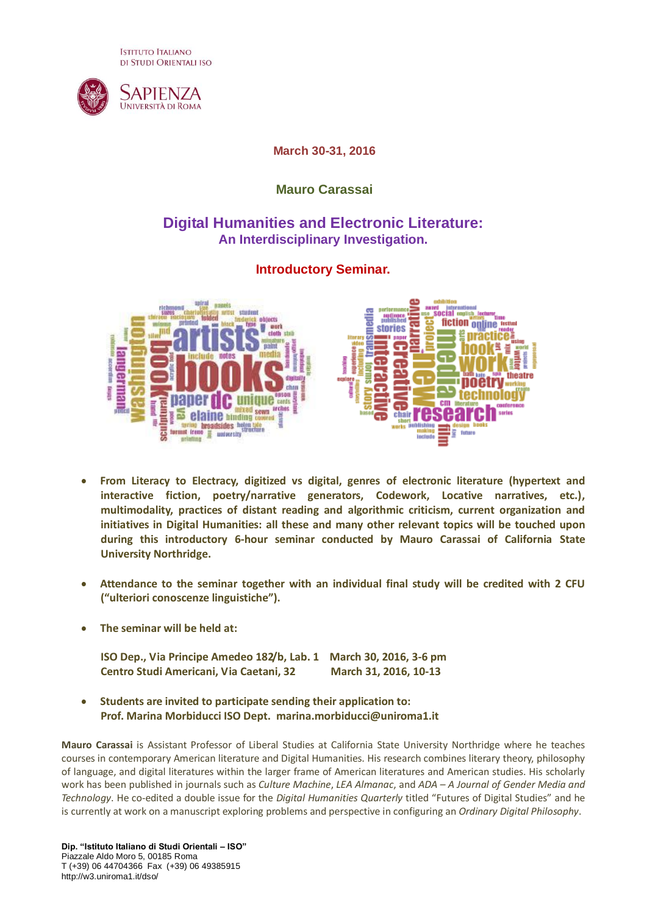**ISTITUTO ITALIANO** DI STUDI ORIENTALI ISO



## **March 30-31, 2016**

## **Mauro Carassai**

## **Digital Humanities and Electronic Literature: An Interdisciplinary Investigation.**

## **Introductory Seminar.**



- **From Literacy to Electracy, digitized vs digital, genres of electronic literature (hypertext and interactive fiction, poetry/narrative generators, Codework, Locative narratives, etc.), multimodality, practices of distant reading and algorithmic criticism, current organization and initiatives in Digital Humanities: all these and many other relevant topics will be touched upon during this introductory 6-hour seminar conducted by Mauro Carassai of California State University Northridge.**
- **Attendance to the seminar together with an individual final study will be credited with 2 CFU ("ulteriori conoscenze linguistiche").**
- **The seminar will be held at:**

**ISO Dep., Via Principe Amedeo 182/b, Lab. 1 March 30, 2016, 3-6 pm Centro Studi Americani, Via Caetani, 32 March 31, 2016, 10-13**

 $\bullet$ **Students are invited to participate sending their application to: Prof. Marina Morbiducci ISO Dept. marina.morbiducci@uniroma1.it**

**Mauro Carassai** is Assistant Professor of Liberal Studies at California State University Northridge where he teaches courses in contemporary American literature and Digital Humanities. His research combines literary theory, philosophy of language, and digital literatures within the larger frame of American literatures and American studies. His scholarly work has been published in journals such as *Culture Machine*, *LEA Almanac*, and *ADA – A Journal of Gender Media and Technology*. He co-edited a double issue for the *Digital Humanities Quarterly* titled "Futures of Digital Studies" and he is currently at work on a manuscript exploring problems and perspective in configuring an *Ordinary Digital Philosophy*.